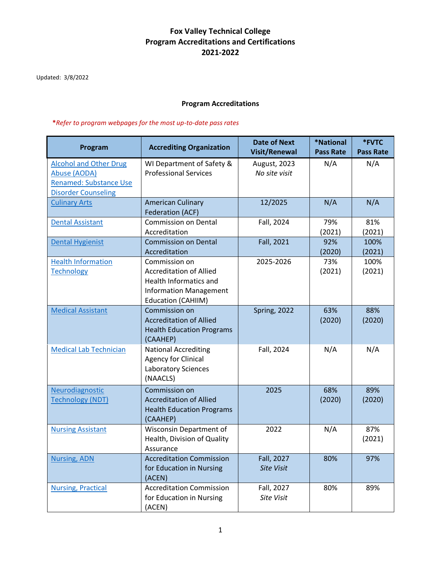## **Fox Valley Technical College Program Accreditations and Certifications 2021-2022**

Updated: 3/8/2022

#### **Program Accreditations**

 **\****Refer to program webpages for the most up-to-date pass rates*

| Program                                                                                                      | <b>Accrediting Organization</b>                                                                                                         | <b>Date of Next</b><br><b>Visit/Renewal</b> | <b>*National</b><br><b>Pass Rate</b> | *FVTC<br><b>Pass Rate</b> |
|--------------------------------------------------------------------------------------------------------------|-----------------------------------------------------------------------------------------------------------------------------------------|---------------------------------------------|--------------------------------------|---------------------------|
| <b>Alcohol and Other Drug</b><br>Abuse (AODA)<br><b>Renamed: Substance Use</b><br><b>Disorder Counseling</b> | WI Department of Safety &<br><b>Professional Services</b>                                                                               | August, 2023<br>No site visit               | N/A                                  | N/A                       |
| <b>Culinary Arts</b>                                                                                         | <b>American Culinary</b><br>Federation (ACF)                                                                                            | 12/2025                                     | N/A                                  | N/A                       |
| <b>Dental Assistant</b>                                                                                      | <b>Commission on Dental</b><br>Accreditation                                                                                            | Fall, 2024                                  | 79%<br>(2021)                        | 81%<br>(2021)             |
| <b>Dental Hygienist</b>                                                                                      | <b>Commission on Dental</b><br>Accreditation                                                                                            | Fall, 2021                                  | 92%<br>(2020)                        | 100%<br>(2021)            |
| <b>Health Information</b><br><b>Technology</b>                                                               | Commission on<br><b>Accreditation of Allied</b><br>Health Informatics and<br><b>Information Management</b><br><b>Education (CAHIIM)</b> | 2025-2026                                   | 73%<br>(2021)                        | 100%<br>(2021)            |
| <b>Medical Assistant</b>                                                                                     | Commission on<br><b>Accreditation of Allied</b><br><b>Health Education Programs</b><br>(CAAHEP)                                         | Spring, 2022                                | 63%<br>(2020)                        | 88%<br>(2020)             |
| <b>Medical Lab Technician</b>                                                                                | <b>National Accrediting</b><br><b>Agency for Clinical</b><br><b>Laboratory Sciences</b><br>(NAACLS)                                     | Fall, 2024                                  | N/A                                  | N/A                       |
| Neurodiagnostic<br><b>Technology (NDT)</b>                                                                   | Commission on<br><b>Accreditation of Allied</b><br><b>Health Education Programs</b><br>(CAAHEP)                                         | 2025                                        | 68%<br>(2020)                        | 89%<br>(2020)             |
| <b>Nursing Assistant</b>                                                                                     | Wisconsin Department of<br>Health, Division of Quality<br>Assurance                                                                     | 2022                                        | N/A                                  | 87%<br>(2021)             |
| <b>Nursing, ADN</b>                                                                                          | <b>Accreditation Commission</b><br>for Education in Nursing<br>(ACEN)                                                                   | Fall, 2027<br>Site Visit                    | 80%                                  | 97%                       |
| <b>Nursing, Practical</b>                                                                                    | <b>Accreditation Commission</b><br>for Education in Nursing<br>(ACEN)                                                                   | Fall, 2027<br>Site Visit                    | 80%                                  | 89%                       |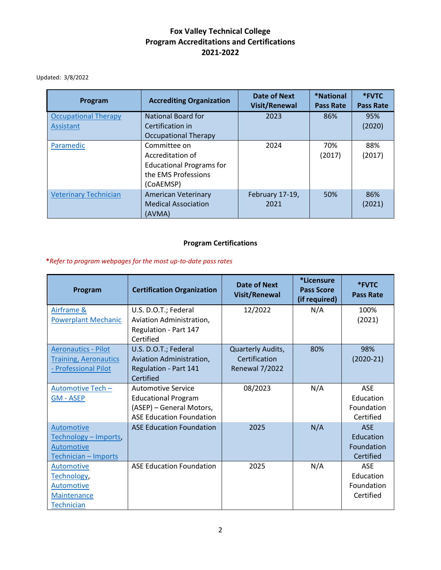## **Fox Valley Technical College Program Accreditations and Certifications 2021-2022**

Updated: 3/8/2022

| Program                      | <b>Accrediting Organization</b> | Date of Next<br><b>Visit/Renewal</b> | *National<br><b>Pass Rate</b> | *FVTC<br><b>Pass Rate</b> |
|------------------------------|---------------------------------|--------------------------------------|-------------------------------|---------------------------|
| <b>Occupational Therapy</b>  | <b>National Board for</b>       | 2023                                 | 86%                           | 95%                       |
| Assistant                    | Certification in                |                                      |                               | (2020)                    |
|                              | <b>Occupational Therapy</b>     |                                      |                               |                           |
| Paramedic                    | Committee on                    | 2024                                 | 70%                           | 88%                       |
|                              | Accreditation of                |                                      | (2017)                        | (2017)                    |
|                              | <b>Educational Programs for</b> |                                      |                               |                           |
|                              | the EMS Professions             |                                      |                               |                           |
|                              | (CoAEMSP)                       |                                      |                               |                           |
| <b>Veterinary Technician</b> | <b>American Veterinary</b>      | February 17-19,                      | 50%                           | 86%                       |
|                              | <b>Medical Association</b>      | 2021                                 |                               | (2021)                    |
|                              | (AVMA)                          |                                      |                               |                           |

## **Program Certifications**

#### **\****Refer to program webpages for the most up-to-date pass rates*

| Program                      | <b>Certification Organization</b> | <b>Date of Next</b><br><b>Visit/Renewal</b> | <i>*Licensure</i><br><b>Pass Score</b><br>(if required) | *FVTC<br><b>Pass Rate</b> |
|------------------------------|-----------------------------------|---------------------------------------------|---------------------------------------------------------|---------------------------|
| Airframe &                   | U.S. D.O.T.; Federal              | 12/2022                                     | N/A                                                     | 100%                      |
| <b>Powerplant Mechanic</b>   | Aviation Administration,          |                                             |                                                         | (2021)                    |
|                              | Regulation - Part 147             |                                             |                                                         |                           |
|                              | Certified                         |                                             |                                                         |                           |
| <b>Aeronautics - Pilot</b>   | U.S. D.O.T.; Federal              | Quarterly Audits,                           | 80%                                                     | 98%                       |
| <b>Training, Aeronautics</b> | Aviation Administration,          | Certification                               |                                                         | $(2020-21)$               |
| - Professional Pilot         | Regulation - Part 141             | Renewal 7/2022                              |                                                         |                           |
|                              | Certified                         |                                             |                                                         |                           |
| Automotive Tech -            | Automotive Service                | 08/2023                                     | N/A                                                     | <b>ASE</b>                |
| <b>GM - ASEP</b>             | <b>Educational Program</b>        |                                             |                                                         | Education                 |
|                              | (ASEP) - General Motors,          |                                             |                                                         | Foundation                |
|                              | <b>ASE Education Foundation</b>   |                                             |                                                         | Certified                 |
| Automotive                   | <b>ASE Education Foundation</b>   | 2025                                        | N/A                                                     | <b>ASE</b>                |
| Technology - Imports,        |                                   |                                             |                                                         | Education                 |
| Automotive                   |                                   |                                             |                                                         | Foundation                |
| Technician - Imports         |                                   |                                             |                                                         | Certified                 |
| <b>Automotive</b>            | <b>ASE Education Foundation</b>   | 2025                                        | N/A                                                     | <b>ASE</b>                |
| Technology,                  |                                   |                                             |                                                         | Education                 |
| <b>Automotive</b>            |                                   |                                             |                                                         | Foundation                |
| Maintenance                  |                                   |                                             |                                                         | Certified                 |
| <b>Technician</b>            |                                   |                                             |                                                         |                           |